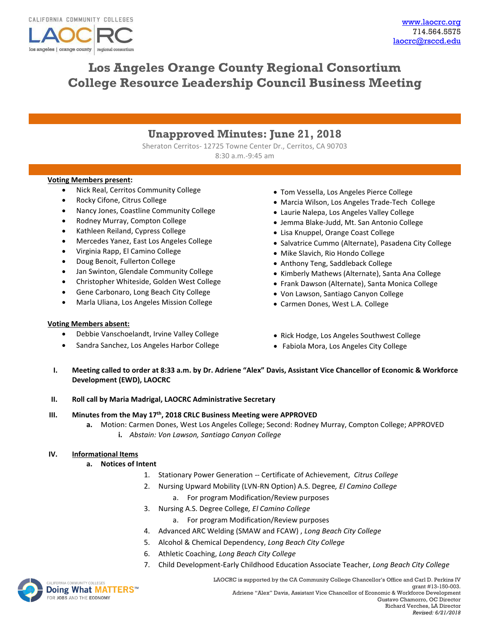

# **Los Angeles Orange County Regional Consortium College Resource Leadership Council Business Meeting**

# **Unapproved Minutes: June 21, 2018**

Sheraton Cerritos- 12725 Towne Center Dr., Cerritos, CA 90703 8:30 a.m.-9:45 am

#### **Voting Members present:**

- Nick Real, Cerritos Community College
- Rocky Cifone, Citrus College
- Nancy Jones, Coastline Community College
- Rodney Murray, Compton College
- Kathleen Reiland, Cypress College
- Mercedes Yanez, East Los Angeles College
- Virginia Rapp, El Camino College
- Doug Benoit, Fullerton College
- Jan Swinton, Glendale Community College
- Christopher Whiteside, Golden West College
- Gene Carbonaro, Long Beach City College
- Marla Uliana, Los Angeles Mission College

#### **Voting Members absent:**

- Debbie Vanschoelandt, Irvine Valley College
- Sandra Sanchez, Los Angeles Harbor College
- Tom Vessella, Los Angeles Pierce College
- Marcia Wilson, Los Angeles Trade-Tech College
- Laurie Nalepa, Los Angeles Valley College
- Jemma Blake-Judd, Mt. San Antonio College
- Lisa Knuppel, Orange Coast College
- Salvatrice Cummo (Alternate), Pasadena City College
- Mike Slavich, Rio Hondo College
- Anthony Teng, Saddleback College
- Kimberly Mathews (Alternate), Santa Ana College
- Frank Dawson (Alternate), Santa Monica College
- Von Lawson, Santiago Canyon College
- Carmen Dones, West L.A. College
- Rick Hodge, Los Angeles Southwest College
- Fabiola Mora, Los Angeles City College
- **I. Meeting called to order at 8:33 a.m. by Dr. Adriene "Alex" Davis, Assistant Vice Chancellor of Economic & Workforce Development (EWD), LAOCRC**
- **II. Roll call by Maria Madrigal, LAOCRC Administrative Secretary**

#### **III. Minutes from the May 17th, 2018 CRLC Business Meeting were APPROVED**

**a.** Motion: Carmen Dones, West Los Angeles College; Second: Rodney Murray, Compton College; APPROVED **i.** *Abstain: Von Lawson, Santiago Canyon College*

#### **IV. Informational Items**

#### **a. Notices of Intent**

- 1. Stationary Power Generation -- Certificate of Achievement, *Citrus College*
- 2. Nursing Upward Mobility (LVN-RN Option) A.S. Degree*, El Camino College*
	- a. For program Modification/Review purposes
- 3. Nursing A.S. Degree College*, El Camino College*
	- a. For program Modification/Review purposes
- 4. Advanced ARC Welding (SMAW and FCAW) , *Long Beach City College*
- 5. Alcohol & Chemical Dependency, *Long Beach City College*
- 6. Athletic Coaching, *Long Beach City College*
- 7. Child Development-Early Childhood Education Associate Teacher, *Long Beach City College*



LAOCRC is supported by the CA Community College Chancellor's Office and Carl D. Perkins IV grant #13-150-003. Adriene "Alex" Davis, Assistant Vice Chancellor of Economic & Workforce Development Gustavo Chamorro, OC Director Richard Verches, LA Director *Revised: 6/21/2018*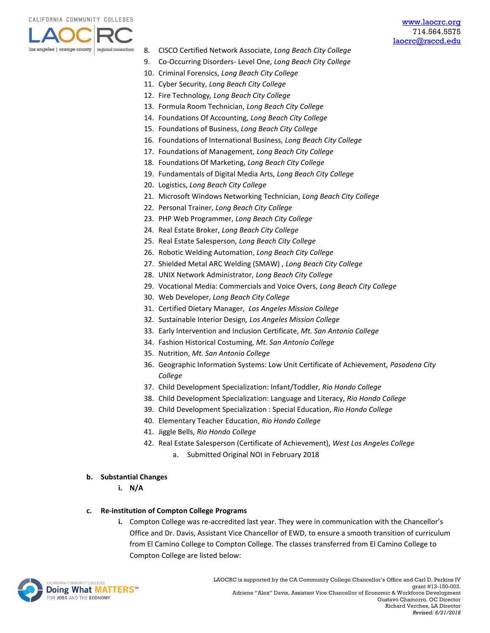

- 8. CISCO Certified Network Associate, *Long Beach City College*
- 9. Co-Occurring Disorders- Level One, *Long Beach City College*
- 10. Criminal Forensics, *Long Beach City College*
- 11. Cyber Security, *Long Beach City College*
- 12. Fire Technology*, Long Beach City College*
- 13. Formula Room Technician, *Long Beach City College*
- 14. Foundations Of Accounting, *Long Beach City College*
- 15. Foundations of Business, *Long Beach City College*
- 16. Foundations of International Business, *Long Beach City College*
- 17. Foundations of Management, *Long Beach City College*
- 18. Foundations Of Marketing, *Long Beach City College*
- 19. Fundamentals of Digital Media Arts, *Long Beach City College*
- 20. Logistics, *Long Beach City College*
- 21. Microsoft Windows Networking Technician, *Long Beach City College*
- 22. Personal Trainer, *Long Beach City College*
- 23. PHP Web Programmer, *Long Beach City College*
- 24. Real Estate Broker, *Long Beach City College*
- 25. Real Estate Salesperson, *Long Beach City College*
- 26. Robotic Welding Automation, *Long Beach City College*
- 27. Shielded Metal ARC Welding (SMAW) , *Long Beach City College*
- 28. UNIX Network Administrator, *Long Beach City College*
- 29. Vocational Media: Commercials and Voice Overs, *Long Beach City College*
- 30. Web Developer, *Long Beach City College*
- 31. Certified Dietary Manager, *Los Angeles Mission College*
- 32. Sustainable Interior Design*, Los Angeles Mission College*
- 33. Early Intervention and Inclusion Certificate, *Mt. San Antonio College*
- 34. Fashion Historical Costuming, *Mt. San Antonio College*
- 35. Nutrition, *Mt. San Antonio College*
- 36. Geographic Information Systems: Low Unit Certificate of Achievement*, Pasadena City College*
- 37. Child Development Specialization: Infant/Toddler, *Rio Hondo College*
- 38. Child Development Specialization: Language and Literacy, *Rio Hondo College*
- 39. Child Development Specialization : Special Education, *Rio Hondo College*
- 40. Elementary Teacher Education, *Rio Hondo College*
- 41. Jiggle Bells, *Rio Hondo College*
- 42. Real Estate Salesperson (Certificate of Achievement), *West Los Angeles College*
	- a. Submitted Original NOI in February 2018

#### **b. Substantial Changes**

**i. N/A**

#### **c. Re-institution of Compton College Programs**

**i.** Compton College was re-accredited last year. They were in communication with the Chancellor's Office and Dr. Davis, Assistant Vice Chancellor of EWD, to ensure a smooth transition of curriculum from El Camino College to Compton College. The classes transferred from El Camino College to Compton College are listed below:

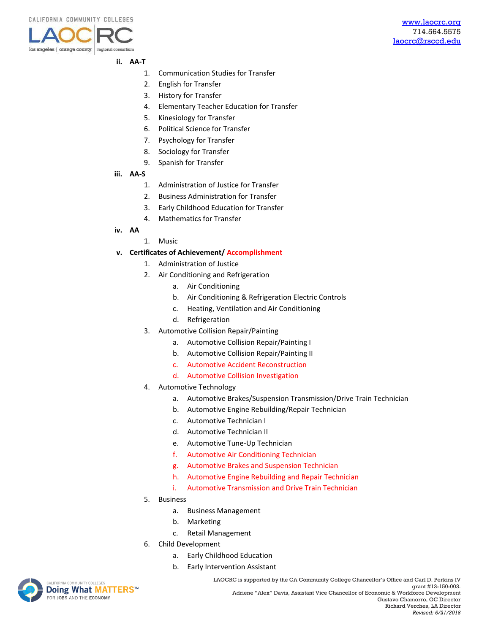

#### **ii. AA-T**

- 1. Communication Studies for Transfer
- 2. English for Transfer
- 3. History for Transfer
- 4. Elementary Teacher Education for Transfer
- 5. Kinesiology for Transfer
- 6. Political Science for Transfer
- 7. Psychology for Transfer
- 8. Sociology for Transfer
- 9. Spanish for Transfer
- **iii. AA-S**
	- 1. Administration of Justice for Transfer
	- 2. Business Administration for Transfer
	- 3. Early Childhood Education for Transfer
	- 4. Mathematics for Transfer
- **iv. AA**
- 1. Music

#### **v. Certificates of Achievement/ Accomplishment**

- 1. Administration of Justice
- 2. Air Conditioning and Refrigeration
	- a. Air Conditioning
	- b. Air Conditioning & Refrigeration Electric Controls
	- c. Heating, Ventilation and Air Conditioning
	- d. Refrigeration
- 3. Automotive Collision Repair/Painting
	- a. Automotive Collision Repair/Painting I
	- b. Automotive Collision Repair/Painting II
	- c. Automotive Accident Reconstruction
	- d. Automotive Collision Investigation
- 4. Automotive Technology
	- a. Automotive Brakes/Suspension Transmission/Drive Train Technician
	- b. Automotive Engine Rebuilding/Repair Technician
	- c. Automotive Technician I
	- d. Automotive Technician II
	- e. Automotive Tune-Up Technician
	- f. Automotive Air Conditioning Technician
	- g. Automotive Brakes and Suspension Technician
	- h. Automotive Engine Rebuilding and Repair Technician
	- i. Automotive Transmission and Drive Train Technician
- 5. Business
	- a. Business Management
	- b. Marketing
	- c. Retail Management
- 6. Child Development
	- a. Early Childhood Education
	- b. Early Intervention Assistant



LAOCRC is supported by the CA Community College Chancellor's Office and Carl D. Perkins IV grant #13-150-003. Adriene "Alex" Davis, Assistant Vice Chancellor of Economic & Workforce Development Gustavo Chamorro, OC Director Richard Verches, LA Director *Revised: 6/21/2018*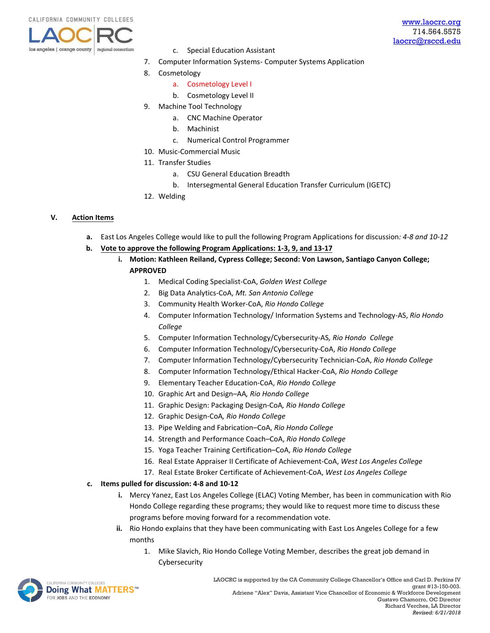

- c. Special Education Assistant
- 7. Computer Information Systems- Computer Systems Application
- 8. Cosmetology
	- a. Cosmetology Level I
	- b. Cosmetology Level II
- 9. Machine Tool Technology
	- a. CNC Machine Operator
	- b. Machinist
	- c. Numerical Control Programmer
- 10. Music-Commercial Music
- 11. Transfer Studies
	- a. CSU General Education Breadth
	- b. Intersegmental General Education Transfer Curriculum (IGETC)
- 12. Welding

#### **V. Action Items**

- **a.** East Los Angeles College would like to pull the following Program Applications for discussion*: 4-8 and 10-12*
- **b. Vote to approve the following Program Applications: 1-3, 9, and 13-17**
	- **i. Motion: Kathleen Reiland, Cypress College; Second: Von Lawson, Santiago Canyon College; APPROVED**
		- 1. Medical Coding Specialist-CoA, *Golden West College*
		- 2. Big Data Analytics-CoA, *Mt. San Antonio College*
		- 3. Community Health Worker-CoA, *Rio Hondo College*
		- 4. Computer Information Technology/ Information Systems and Technology-AS, *Rio Hondo College*
		- 5. Computer Information Technology/Cybersecurity-AS*, Rio Hondo College*
		- 6. Computer Information Technology/Cybersecurity-CoA, *Rio Hondo College*
		- 7. Computer Information Technology/Cybersecurity Technician-CoA, *Rio Hondo College*
		- 8. Computer Information Technology/Ethical Hacker-CoA, *Rio Hondo College*
		- 9. Elementary Teacher Education-CoA, *Rio Hondo College*
		- 10. Graphic Art and Design–AA*, Rio Hondo College*
		- 11. Graphic Design: Packaging Design-CoA*, Rio Hondo College*
		- 12. Graphic Design-CoA*, Rio Hondo College*
		- 13. Pipe Welding and Fabrication–CoA, *Rio Hondo College*
		- 14. Strength and Performance Coach–CoA, *Rio Hondo College*
		- 15. Yoga Teacher Training Certification–CoA, *Rio Hondo College*
		- 16. Real Estate Appraiser II Certificate of Achievement-CoA, *West Los Angeles College*
		- 17. Real Estate Broker Certificate of Achievement-CoA, *West Los Angeles College*

#### **c. Items pulled for discussion: 4-8 and 10-12**

- **i.** Mercy Yanez, East Los Angeles College (ELAC) Voting Member, has been in communication with Rio Hondo College regarding these programs; they would like to request more time to discuss these programs before moving forward for a recommendation vote.
- **ii.** Rio Hondo explains that they have been communicating with East Los Angeles College for a few months
	- 1. Mike Slavich, Rio Hondo College Voting Member, describes the great job demand in Cybersecurity

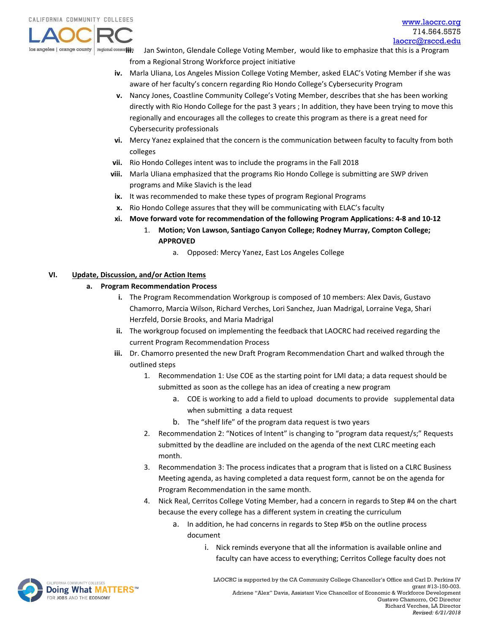

**Ingional consoriii.** Jan Swinton, Glendale College Voting Member, would like to emphasize that this is a Program from a Regional Strong Workforce project initiative

- **iv.** Marla Uliana, Los Angeles Mission College Voting Member, asked ELAC's Voting Member if she was aware of her faculty's concern regarding Rio Hondo College's Cybersecurity Program
- **v.** Nancy Jones, Coastline Community College's Voting Member, describes that she has been working directly with Rio Hondo College for the past 3 years ; In addition, they have been trying to move this regionally and encourages all the colleges to create this program as there is a great need for Cybersecurity professionals
- **vi.** Mercy Yanez explained that the concern is the communication between faculty to faculty from both colleges
- **vii.** Rio Hondo Colleges intent was to include the programs in the Fall 2018
- **viii.** Marla Uliana emphasized that the programs Rio Hondo College is submitting are SWP driven programs and Mike Slavich is the lead
- **ix.** It was recommended to make these types of program Regional Programs
- **x.** Rio Hondo College assures that they will be communicating with ELAC's faculty
- **xi. Move forward vote for recommendation of the following Program Applications: 4-8 and 10-12**
	- 1. **Motion; Von Lawson, Santiago Canyon College; Rodney Murray, Compton College; APPROVED**
		- a. Opposed: Mercy Yanez, East Los Angeles College

## **VI. Update, Discussion, and/or Action Items**

### **a. Program Recommendation Process**

- **i.** The Program Recommendation Workgroup is composed of 10 members: Alex Davis, Gustavo Chamorro, Marcia Wilson, Richard Verches, Lori Sanchez, Juan Madrigal, Lorraine Vega, Shari Herzfeld, Dorsie Brooks, and Maria Madrigal
- **ii.** The workgroup focused on implementing the feedback that LAOCRC had received regarding the current Program Recommendation Process
- **iii.** Dr. Chamorro presented the new Draft Program Recommendation Chart and walked through the outlined steps
	- 1. Recommendation 1: Use COE as the starting point for LMI data; a data request should be submitted as soon as the college has an idea of creating a new program
		- a. COE is working to add a field to upload documents to provide supplemental data when submitting a data request
		- b. The "shelf life" of the program data request is two years
	- 2. Recommendation 2: "Notices of Intent" is changing to "program data request/s;" Requests submitted by the deadline are included on the agenda of the next CLRC meeting each month.
	- 3. Recommendation 3: The process indicates that a program that is listed on a CLRC Business Meeting agenda, as having completed a data request form, cannot be on the agenda for Program Recommendation in the same month.
	- 4. Nick Real, Cerritos College Voting Member, had a concern in regards to Step #4 on the chart because the every college has a different system in creating the curriculum
		- a. In addition, he had concerns in regards to Step #5b on the outline process document
			- i. Nick reminds everyone that all the information is available online and faculty can have access to everything; Cerritos College faculty does not

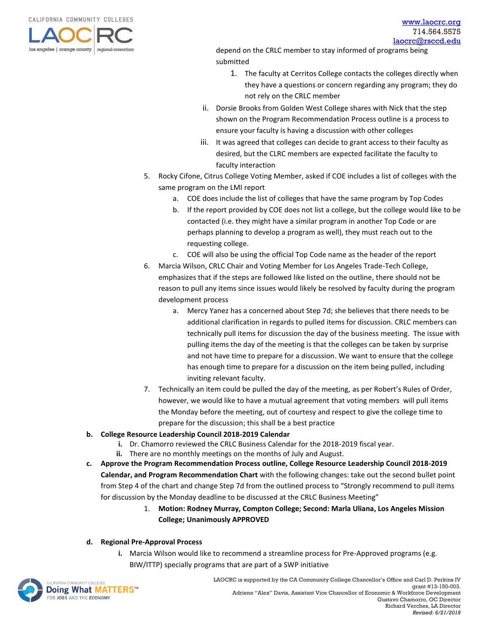CALIFORNIA COMMUNITY COLLEGES



depend on the CRLC member to stay informed of programs being submitted

- 1. The faculty at Cerritos College contacts the colleges directly when they have a questions or concern regarding any program; they do not rely on the CRLC member
- ii. Dorsie Brooks from Golden West College shares with Nick that the step shown on the Program Recommendation Process outline is a process to ensure your faculty is having a discussion with other colleges
- iii. It was agreed that colleges can decide to grant access to their faculty as desired, but the CLRC members are expected facilitate the faculty to faculty interaction
- 5. Rocky Cifone, Citrus College Voting Member, asked if COE includes a list of colleges with the same program on the LMI report
	- a. COE does include the list of colleges that have the same program by Top Codes
	- b. If the report provided by COE does not list a college, but the college would like to be contacted (i.e. they might have a similar program in another Top Code or are perhaps planning to develop a program as well), they must reach out to the requesting college.
	- c. COE will also be using the official Top Code name as the header of the report
- 6. Marcia Wilson, CRLC Chair and Voting Member for Los Angeles Trade-Tech College, emphasizes that if the steps are followed like listed on the outline, there should not be reason to pull any items since issues would likely be resolved by faculty during the program development process
	- a. Mercy Yanez has a concerned about Step 7d; she believes that there needs to be additional clarification in regards to pulled items for discussion. CRLC members can technically pull items for discussion the day of the business meeting. The issue with pulling items the day of the meeting is that the colleges can be taken by surprise and not have time to prepare for a discussion. We want to ensure that the college has enough time to prepare for a discussion on the item being pulled, including inviting relevant faculty.
- 7. Technically an item could be pulled the day of the meeting, as per Robert's Rules of Order, however, we would like to have a mutual agreement that voting members will pull items the Monday before the meeting, out of courtesy and respect to give the college time to prepare for the discussion; this shall be a best practice
- **b. College Resource Leadership Council 2018-2019 Calendar**
	- **i.** Dr. Chamorro reviewed the CRLC Business Calendar for the 2018-2019 fiscal year.
	- **ii.** There are no monthly meetings on the months of July and August.
- **c. Approve the Program Recommendation Process outline, College Resource Leadership Council 2018-2019 Calendar, and Program Recommendation Chart** with the following changes: take out the second bullet point from Step 4 of the chart and change Step 7d from the outlined process to "Strongly recommend to pull items for discussion by the Monday deadline to be discussed at the CRLC Business Meeting"
	- 1. **Motion: Rodney Murray, Compton College; Second: Marla Uliana, Los Angeles Mission College; Unanimously APPROVED**

#### **d. Regional Pre-Approval Process**

**i.** Marcia Wilson would like to recommend a streamline process for Pre-Approved programs (e.g. BIW/ITTP) specially programs that are part of a SWP initiative

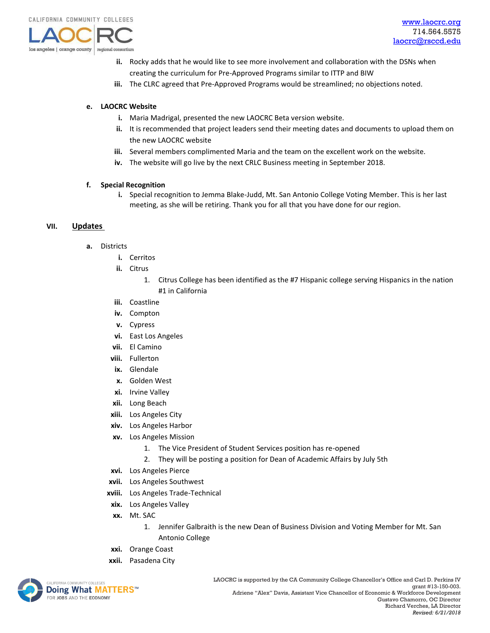

- **ii.** Rocky adds that he would like to see more involvement and collaboration with the DSNs when creating the curriculum for Pre-Approved Programs similar to ITTP and BIW
- **iii.** The CLRC agreed that Pre-Approved Programs would be streamlined; no objections noted.

#### **e. LAOCRC Website**

- **i.** Maria Madrigal, presented the new LAOCRC Beta version website.
- **ii.** It is recommended that project leaders send their meeting dates and documents to upload them on the new LAOCRC website
- **iii.** Several members complimented Maria and the team on the excellent work on the website.
- **iv.** The website will go live by the next CRLC Business meeting in September 2018.

#### **f. Special Recognition**

**i.** Special recognition to Jemma Blake-Judd, Mt. San Antonio College Voting Member. This is her last meeting, as she will be retiring. Thank you for all that you have done for our region.

#### **VII. Updates**

- **a.** Districts
	- **i.** Cerritos
	- **ii.** Citrus
		- 1. Citrus College has been identified as the #7 Hispanic college serving Hispanics in the nation #1 in California
	- **iii.** Coastline
	- **iv.** Compton
	- **v.** Cypress
	- **vi.** East Los Angeles
	- **vii.** El Camino
	- **viii.** Fullerton
	- **ix.** Glendale
	- **x.** Golden West
	- **xi.** Irvine Valley
	- **xii.** Long Beach
	- **xiii.** Los Angeles City
	- **xiv.** Los Angeles Harbor
	- **xv.** Los Angeles Mission
		- 1. The Vice President of Student Services position has re-opened
		- 2. They will be posting a position for Dean of Academic Affairs by July 5th
	- **xvi.** Los Angeles Pierce
	- **xvii.** Los Angeles Southwest
	- **xviii.** Los Angeles Trade-Technical
	- **xix.** Los Angeles Valley
	- **xx.** Mt. SAC
		- 1. Jennifer Galbraith is the new Dean of Business Division and Voting Member for Mt. San Antonio College
	- **xxi.** Orange Coast
	- **xxii.** Pasadena City